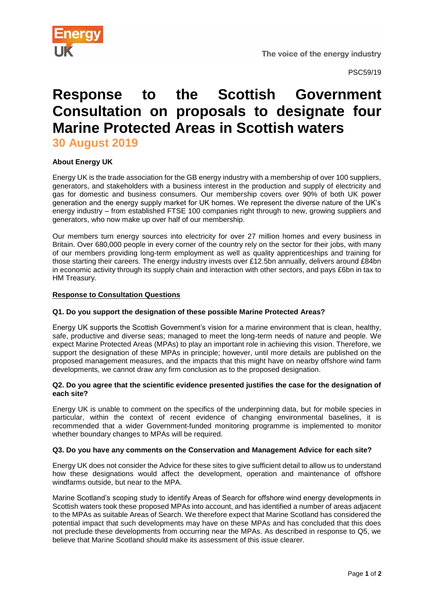

PSC59/19

# **Response to the Scottish Government Consultation on proposals to designate four Marine Protected Areas in Scottish waters**

**30 August 2019**

## **About Energy UK**

Energy UK is the trade association for the GB energy industry with a membership of over 100 suppliers, generators, and stakeholders with a business interest in the production and supply of electricity and gas for domestic and business consumers. Our membership covers over 90% of both UK power generation and the energy supply market for UK homes. We represent the diverse nature of the UK's energy industry – from established FTSE 100 companies right through to new, growing suppliers and generators, who now make up over half of our membership.

Our members turn energy sources into electricity for over 27 million homes and every business in Britain. Over 680,000 people in every corner of the country rely on the sector for their jobs, with many of our members providing long-term employment as well as quality apprenticeships and training for those starting their careers. The energy industry invests over £12.5bn annually, delivers around £84bn in economic activity through its supply chain and interaction with other sectors, and pays £6bn in tax to HM Treasury.

#### **Response to Consultation Questions**

## **Q1. Do you support the designation of these possible Marine Protected Areas?**

Energy UK supports the Scottish Government's vision for a marine environment that is clean, healthy, safe, productive and diverse seas; managed to meet the long-term needs of nature and people. We expect Marine Protected Areas (MPAs) to play an important role in achieving this vision. Therefore, we support the designation of these MPAs in principle; however, until more details are published on the proposed management measures, and the impacts that this might have on nearby offshore wind farm developments, we cannot draw any firm conclusion as to the proposed designation.

#### **Q2. Do you agree that the scientific evidence presented justifies the case for the designation of each site?**

Energy UK is unable to comment on the specifics of the underpinning data, but for mobile species in particular, within the context of recent evidence of changing environmental baselines, it is recommended that a wider Government-funded monitoring programme is implemented to monitor whether boundary changes to MPAs will be required.

## **Q3. Do you have any comments on the Conservation and Management Advice for each site?**

Energy UK does not consider the Advice for these sites to give sufficient detail to allow us to understand how these designations would affect the development, operation and maintenance of offshore windfarms outside, but near to the MPA.

Marine Scotland's scoping study to identify Areas of Search for offshore wind energy developments in Scottish waters took these proposed MPAs into account, and has identified a number of areas adjacent to the MPAs as suitable Areas of Search. We therefore expect that Marine Scotland has considered the potential impact that such developments may have on these MPAs and has concluded that this does not preclude these developments from occurring near the MPAs. As described in response to Q5, we believe that Marine Scotland should make its assessment of this issue clearer.